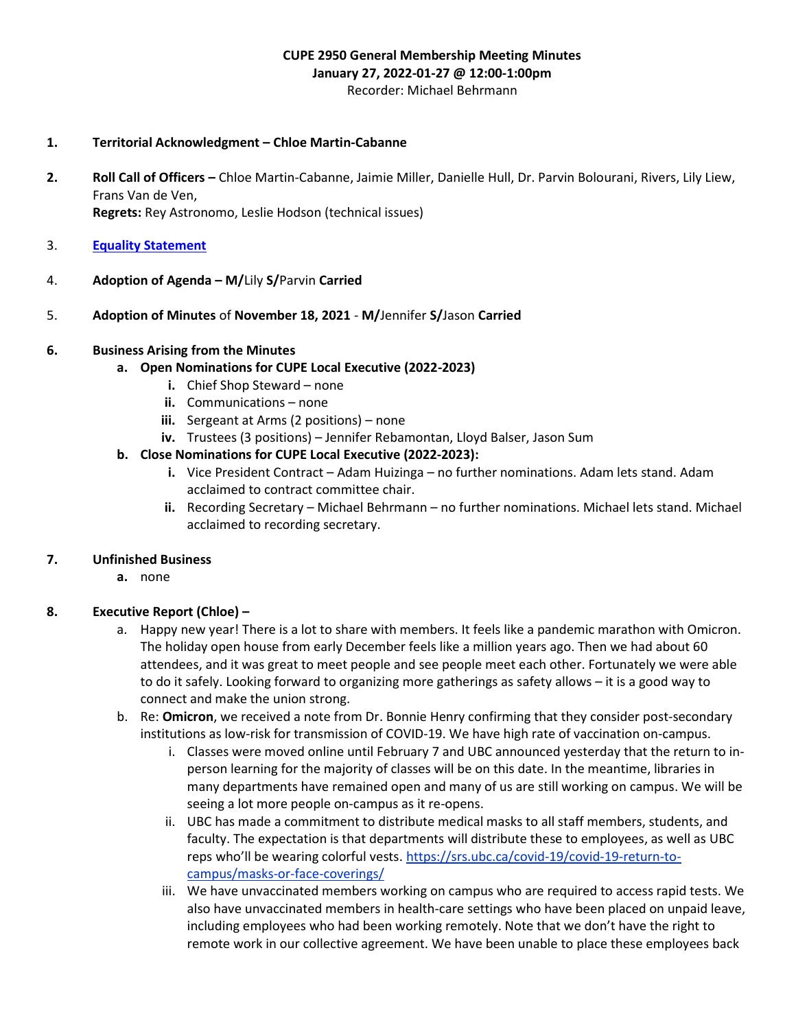#### CUPE 2950 General Membership Meeting Minutes January 27, 2022-01-27 @ 12:00-1:00pm Recorder: Michael Behrmann

#### 1. Territorial Acknowledgment – Chloe Martin-Cabanne

- 2. Roll Call of Officers Chloe Martin-Cabanne, Jaimie Miller, Danielle Hull, Dr. Parvin Bolourani, Rivers, Lily Liew, Frans Van de Ven, Regrets: Rey Astronomo, Leslie Hodson (technical issues)
- 3. Equality Statement
- 4. Adoption of Agenda M/Lily S/Parvin Carried
- 5. Adoption of Minutes of November 18, 2021 M/Jennifer S/Jason Carried

#### 6. Business Arising from the Minutes

- a. Open Nominations for CUPE Local Executive (2022-2023)
	- i. Chief Shop Steward none
	- ii. Communications none
	- iii. Sergeant at Arms (2 positions) none
	- iv. Trustees (3 positions) Jennifer Rebamontan, Lloyd Balser, Jason Sum
- b. Close Nominations for CUPE Local Executive (2022-2023):
	- i. Vice President Contract Adam Huizinga no further nominations. Adam lets stand. Adam acclaimed to contract committee chair.
	- ii. Recording Secretary Michael Behrmann no further nominations. Michael lets stand. Michael acclaimed to recording secretary.

#### 7. Unfinished Business

a. none

#### 8. Executive Report (Chloe) –

- a. Happy new year! There is a lot to share with members. It feels like a pandemic marathon with Omicron. The holiday open house from early December feels like a million years ago. Then we had about 60 attendees, and it was great to meet people and see people meet each other. Fortunately we were able to do it safely. Looking forward to organizing more gatherings as safety allows – it is a good way to connect and make the union strong.
- b. Re: **Omicron**, we received a note from Dr. Bonnie Henry confirming that they consider post-secondary institutions as low-risk for transmission of COVID-19. We have high rate of vaccination on-campus.
	- i. Classes were moved online until February 7 and UBC announced yesterday that the return to inperson learning for the majority of classes will be on this date. In the meantime, libraries in many departments have remained open and many of us are still working on campus. We will be seeing a lot more people on-campus as it re-opens.
	- ii. UBC has made a commitment to distribute medical masks to all staff members, students, and faculty. The expectation is that departments will distribute these to employees, as well as UBC reps who'll be wearing colorful vests. https://srs.ubc.ca/covid-19/covid-19-return-tocampus/masks-or-face-coverings/
	- iii. We have unvaccinated members working on campus who are required to access rapid tests. We also have unvaccinated members in health-care settings who have been placed on unpaid leave, including employees who had been working remotely. Note that we don't have the right to remote work in our collective agreement. We have been unable to place these employees back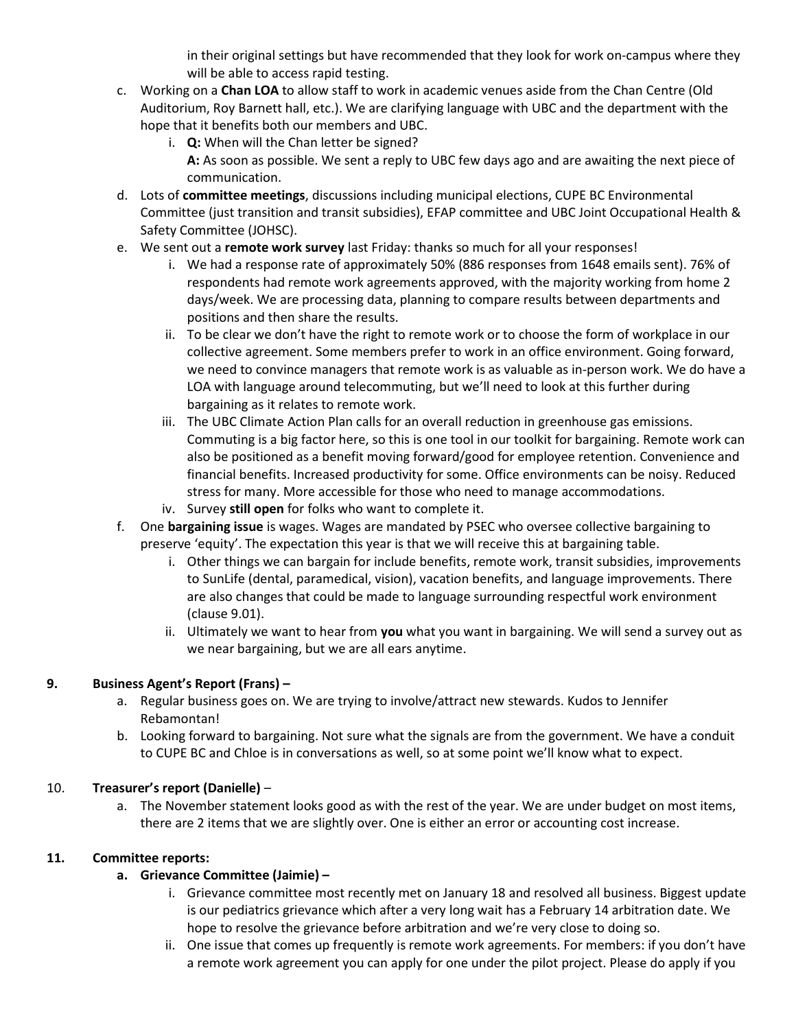in their original settings but have recommended that they look for work on-campus where they will be able to access rapid testing.

- c. Working on a Chan LOA to allow staff to work in academic venues aside from the Chan Centre (Old Auditorium, Roy Barnett hall, etc.). We are clarifying language with UBC and the department with the hope that it benefits both our members and UBC.
	- i. **Q:** When will the Chan letter be signed? A: As soon as possible. We sent a reply to UBC few days ago and are awaiting the next piece of communication.
- d. Lots of committee meetings, discussions including municipal elections, CUPE BC Environmental Committee (just transition and transit subsidies), EFAP committee and UBC Joint Occupational Health & Safety Committee (JOHSC).
- e. We sent out a remote work survey last Friday: thanks so much for all your responses!
	- i. We had a response rate of approximately 50% (886 responses from 1648 emails sent). 76% of respondents had remote work agreements approved, with the majority working from home 2 days/week. We are processing data, planning to compare results between departments and positions and then share the results.
	- ii. To be clear we don't have the right to remote work or to choose the form of workplace in our collective agreement. Some members prefer to work in an office environment. Going forward, we need to convince managers that remote work is as valuable as in-person work. We do have a LOA with language around telecommuting, but we'll need to look at this further during bargaining as it relates to remote work.
	- iii. The UBC Climate Action Plan calls for an overall reduction in greenhouse gas emissions. Commuting is a big factor here, so this is one tool in our toolkit for bargaining. Remote work can also be positioned as a benefit moving forward/good for employee retention. Convenience and financial benefits. Increased productivity for some. Office environments can be noisy. Reduced stress for many. More accessible for those who need to manage accommodations.
	- iv. Survey still open for folks who want to complete it.
- f. One bargaining issue is wages. Wages are mandated by PSEC who oversee collective bargaining to preserve 'equity'. The expectation this year is that we will receive this at bargaining table.
	- i. Other things we can bargain for include benefits, remote work, transit subsidies, improvements to SunLife (dental, paramedical, vision), vacation benefits, and language improvements. There are also changes that could be made to language surrounding respectful work environment (clause 9.01).
	- ii. Ultimately we want to hear from you what you want in bargaining. We will send a survey out as we near bargaining, but we are all ears anytime.

# 9. Business Agent's Report (Frans) –

- a. Regular business goes on. We are trying to involve/attract new stewards. Kudos to Jennifer Rebamontan!
- b. Looking forward to bargaining. Not sure what the signals are from the government. We have a conduit to CUPE BC and Chloe is in conversations as well, so at some point we'll know what to expect.

# 10. Treasurer's report (Danielle) –

a. The November statement looks good as with the rest of the year. We are under budget on most items, there are 2 items that we are slightly over. One is either an error or accounting cost increase.

# 11. Committee reports:

- a. Grievance Committee (Jaimie)
	- i. Grievance committee most recently met on January 18 and resolved all business. Biggest update is our pediatrics grievance which after a very long wait has a February 14 arbitration date. We hope to resolve the grievance before arbitration and we're very close to doing so.
	- ii. One issue that comes up frequently is remote work agreements. For members: if you don't have a remote work agreement you can apply for one under the pilot project. Please do apply if you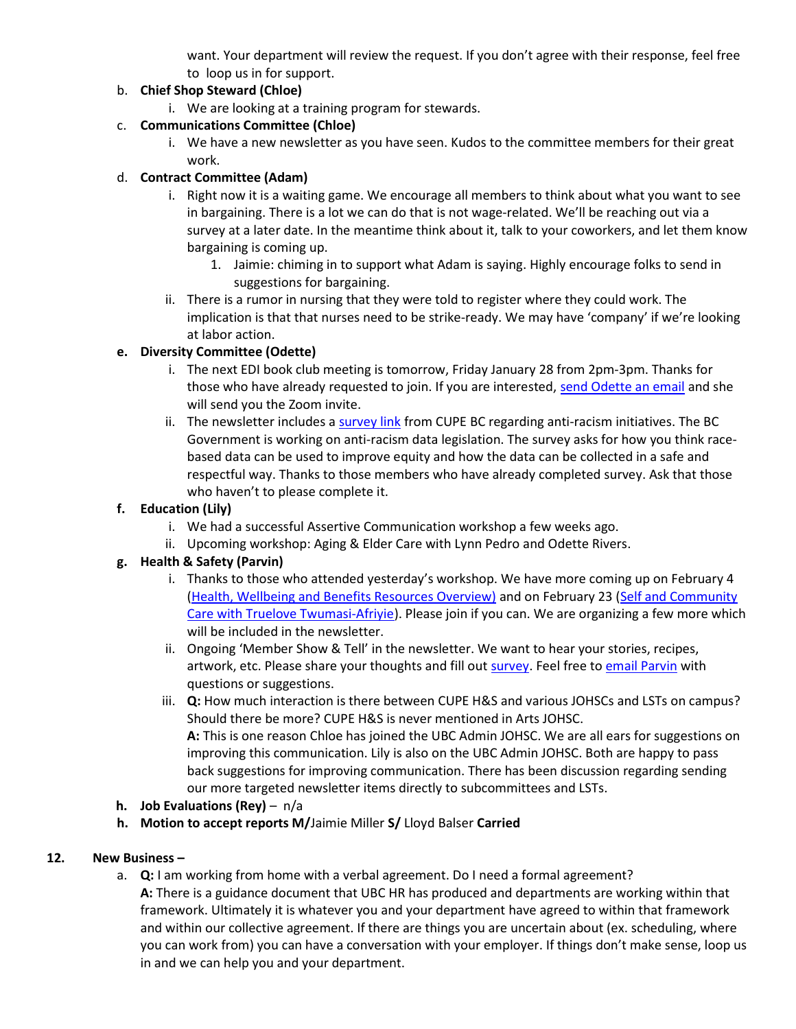want. Your department will review the request. If you don't agree with their response, feel free to loop us in for support.

## b. Chief Shop Steward (Chloe)

i. We are looking at a training program for stewards.

# c. Communications Committee (Chloe)

i. We have a new newsletter as you have seen. Kudos to the committee members for their great work.

## d. Contract Committee (Adam)

- i. Right now it is a waiting game. We encourage all members to think about what you want to see in bargaining. There is a lot we can do that is not wage-related. We'll be reaching out via a survey at a later date. In the meantime think about it, talk to your coworkers, and let them know bargaining is coming up.
	- 1. Jaimie: chiming in to support what Adam is saying. Highly encourage folks to send in suggestions for bargaining.
- ii. There is a rumor in nursing that they were told to register where they could work. The implication is that that nurses need to be strike-ready. We may have 'company' if we're looking at labor action.

## e. Diversity Committee (Odette)

- i. The next EDI book club meeting is tomorrow, Friday January 28 from 2pm-3pm. Thanks for those who have already requested to join. If you are interested, send Odette an email and she will send you the Zoom invite.
- ii. The newsletter includes a survey link from CUPE BC regarding anti-racism initiatives. The BC Government is working on anti-racism data legislation. The survey asks for how you think racebased data can be used to improve equity and how the data can be collected in a safe and respectful way. Thanks to those members who have already completed survey. Ask that those who haven't to please complete it.

#### f. Education (Lily)

- i. We had a successful Assertive Communication workshop a few weeks ago.
- ii. Upcoming workshop: Aging & Elder Care with Lynn Pedro and Odette Rivers.

### g. Health & Safety (Parvin)

- i. Thanks to those who attended yesterday's workshop. We have more coming up on February 4 (Health, Wellbeing and Benefits Resources Overview) and on February 23 (Self and Community Care with Truelove Twumasi-Afriyie). Please join if you can. We are organizing a few more which will be included in the newsletter.
- ii. Ongoing 'Member Show & Tell' in the newsletter. We want to hear your stories, recipes, artwork, etc. Please share your thoughts and fill out survey. Feel free to email Parvin with questions or suggestions.
- iii. Q: How much interaction is there between CUPE H&S and various JOHSCs and LSTs on campus? Should there be more? CUPE H&S is never mentioned in Arts JOHSC.

A: This is one reason Chloe has joined the UBC Admin JOHSC. We are all ears for suggestions on improving this communication. Lily is also on the UBC Admin JOHSC. Both are happy to pass back suggestions for improving communication. There has been discussion regarding sending our more targeted newsletter items directly to subcommittees and LSTs.

- h. Job Evaluations (Rey) n/a
- h. Motion to accept reports M/Jaimie Miller S/ Lloyd Balser Carried

### 12. New Business –

- a. Q: I am working from home with a verbal agreement. Do I need a formal agreement?
	- A: There is a guidance document that UBC HR has produced and departments are working within that framework. Ultimately it is whatever you and your department have agreed to within that framework and within our collective agreement. If there are things you are uncertain about (ex. scheduling, where you can work from) you can have a conversation with your employer. If things don't make sense, loop us in and we can help you and your department.